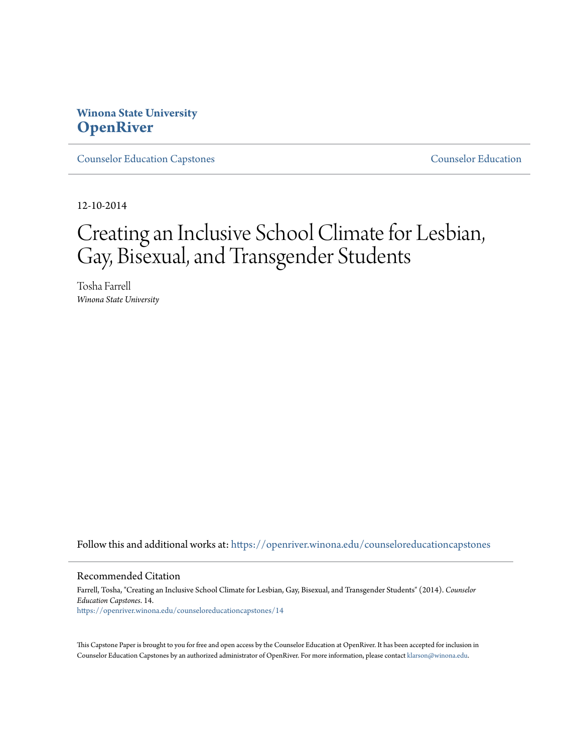## **Winona State University [OpenRiver](https://openriver.winona.edu?utm_source=openriver.winona.edu%2Fcounseloreducationcapstones%2F14&utm_medium=PDF&utm_campaign=PDFCoverPages)**

[Counselor Education Capstones](https://openriver.winona.edu/counseloreducationcapstones?utm_source=openriver.winona.edu%2Fcounseloreducationcapstones%2F14&utm_medium=PDF&utm_campaign=PDFCoverPages) [Counselor Education](https://openriver.winona.edu/counseloreducation?utm_source=openriver.winona.edu%2Fcounseloreducationcapstones%2F14&utm_medium=PDF&utm_campaign=PDFCoverPages)

12-10-2014

# Creating an Inclusive School Climate for Lesbian, Gay, Bisexual, and Transgender Students

Tosha Farrell *Winona State University*

Follow this and additional works at: [https://openriver.winona.edu/counseloreducationcapstones](https://openriver.winona.edu/counseloreducationcapstones?utm_source=openriver.winona.edu%2Fcounseloreducationcapstones%2F14&utm_medium=PDF&utm_campaign=PDFCoverPages)

#### Recommended Citation

Farrell, Tosha, "Creating an Inclusive School Climate for Lesbian, Gay, Bisexual, and Transgender Students" (2014). *Counselor Education Capstones*. 14. [https://openriver.winona.edu/counseloreducationcapstones/14](https://openriver.winona.edu/counseloreducationcapstones/14?utm_source=openriver.winona.edu%2Fcounseloreducationcapstones%2F14&utm_medium=PDF&utm_campaign=PDFCoverPages)

This Capstone Paper is brought to you for free and open access by the Counselor Education at OpenRiver. It has been accepted for inclusion in Counselor Education Capstones by an authorized administrator of OpenRiver. For more information, please contact [klarson@winona.edu](mailto:klarson@winona.edu).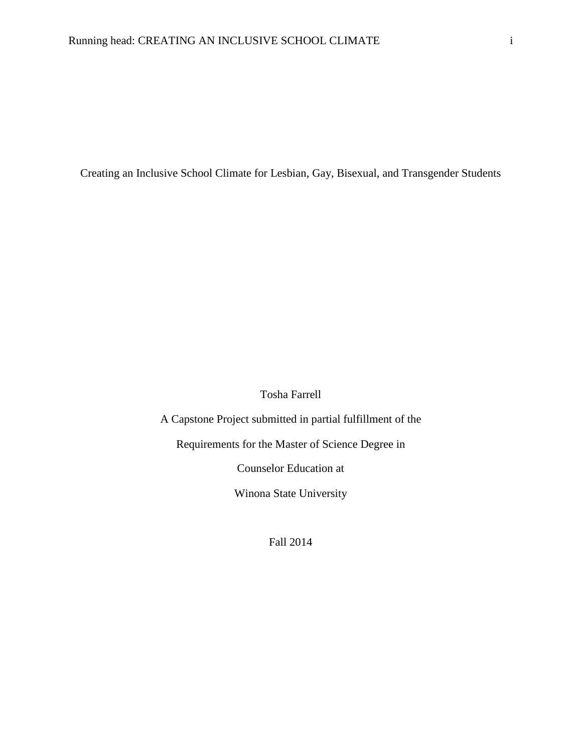Creating an Inclusive School Climate for Lesbian, Gay, Bisexual, and Transgender Students

Tosha Farrell

A Capstone Project submitted in partial fulfillment of the Requirements for the Master of Science Degree in Counselor Education at Winona State University

Fall 2014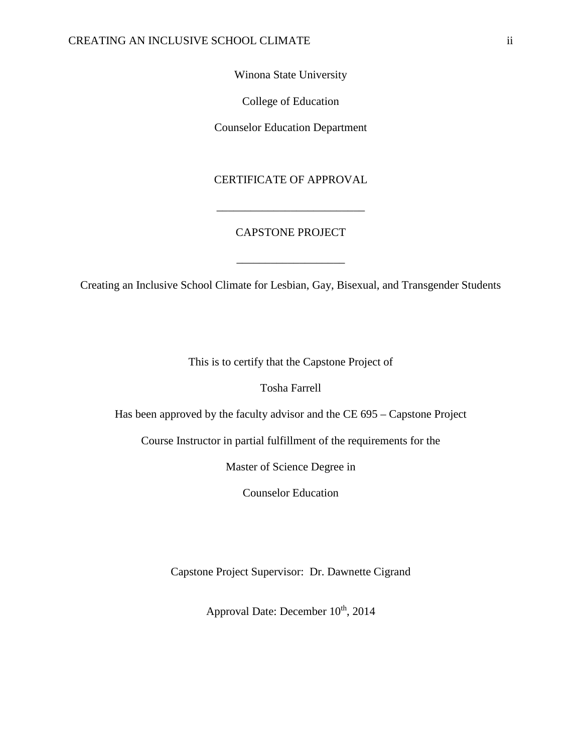## Winona State University

College of Education

Counselor Education Department

## CERTIFICATE OF APPROVAL

## CAPSTONE PROJECT

\_\_\_\_\_\_\_\_\_\_\_\_\_\_\_\_\_\_\_

\_\_\_\_\_\_\_\_\_\_\_\_\_\_\_\_\_\_\_\_\_\_\_\_\_\_

Creating an Inclusive School Climate for Lesbian, Gay, Bisexual, and Transgender Students

This is to certify that the Capstone Project of

Tosha Farrell

Has been approved by the faculty advisor and the CE 695 – Capstone Project

Course Instructor in partial fulfillment of the requirements for the

Master of Science Degree in

Counselor Education

Capstone Project Supervisor: Dr. Dawnette Cigrand

Approval Date: December  $10^{th}$ , 2014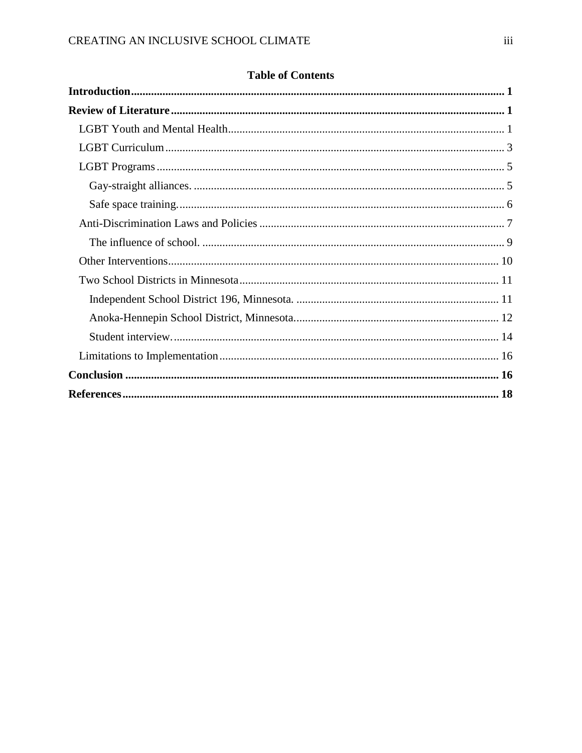|  | <b>Table of Contents</b> |
|--|--------------------------|
|--|--------------------------|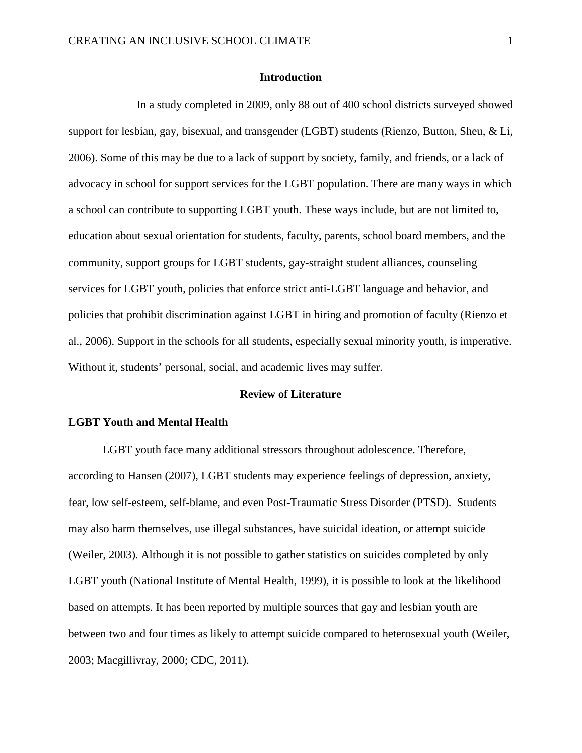#### **Introduction**

<span id="page-4-0"></span>In a study completed in 2009, only 88 out of 400 school districts surveyed showed support for lesbian, gay, bisexual, and transgender (LGBT) students (Rienzo, Button, Sheu, & Li, 2006). Some of this may be due to a lack of support by society, family, and friends, or a lack of advocacy in school for support services for the LGBT population. There are many ways in which a school can contribute to supporting LGBT youth. These ways include, but are not limited to, education about sexual orientation for students, faculty, parents, school board members, and the community, support groups for LGBT students, gay-straight student alliances, counseling services for LGBT youth, policies that enforce strict anti-LGBT language and behavior, and policies that prohibit discrimination against LGBT in hiring and promotion of faculty (Rienzo et al., 2006). Support in the schools for all students, especially sexual minority youth, is imperative. Without it, students' personal, social, and academic lives may suffer.

## **Review of Literature**

### <span id="page-4-2"></span><span id="page-4-1"></span>**LGBT Youth and Mental Health**

LGBT youth face many additional stressors throughout adolescence. Therefore, according to Hansen (2007), LGBT students may experience feelings of depression, anxiety, fear, low self-esteem, self-blame, and even Post-Traumatic Stress Disorder (PTSD). Students may also harm themselves, use illegal substances, have suicidal ideation, or attempt suicide (Weiler, 2003). Although it is not possible to gather statistics on suicides completed by only LGBT youth (National Institute of Mental Health, 1999), it is possible to look at the likelihood based on attempts. It has been reported by multiple sources that gay and lesbian youth are between two and four times as likely to attempt suicide compared to heterosexual youth (Weiler, 2003; Macgillivray, 2000; CDC, 2011).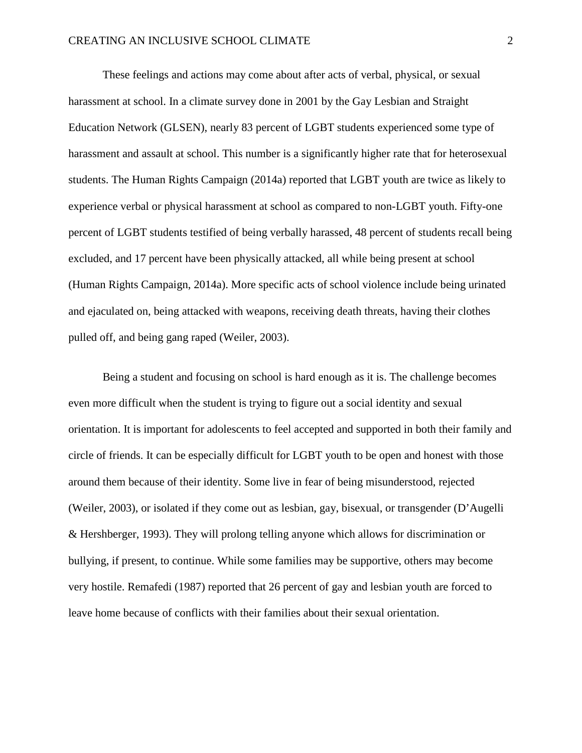These feelings and actions may come about after acts of verbal, physical, or sexual harassment at school. In a climate survey done in 2001 by the Gay Lesbian and Straight Education Network (GLSEN), nearly 83 percent of LGBT students experienced some type of harassment and assault at school. This number is a significantly higher rate that for heterosexual students. The Human Rights Campaign (2014a) reported that LGBT youth are twice as likely to experience verbal or physical harassment at school as compared to non-LGBT youth. Fifty-one percent of LGBT students testified of being verbally harassed, 48 percent of students recall being excluded, and 17 percent have been physically attacked, all while being present at school (Human Rights Campaign, 2014a). More specific acts of school violence include being urinated and ejaculated on, being attacked with weapons, receiving death threats, having their clothes pulled off, and being gang raped (Weiler, 2003).

Being a student and focusing on school is hard enough as it is. The challenge becomes even more difficult when the student is trying to figure out a social identity and sexual orientation. It is important for adolescents to feel accepted and supported in both their family and circle of friends. It can be especially difficult for LGBT youth to be open and honest with those around them because of their identity. Some live in fear of being misunderstood, rejected (Weiler, 2003), or isolated if they come out as lesbian, gay, bisexual, or transgender (D'Augelli & Hershberger, 1993). They will prolong telling anyone which allows for discrimination or bullying, if present, to continue. While some families may be supportive, others may become very hostile. Remafedi (1987) reported that 26 percent of gay and lesbian youth are forced to leave home because of conflicts with their families about their sexual orientation.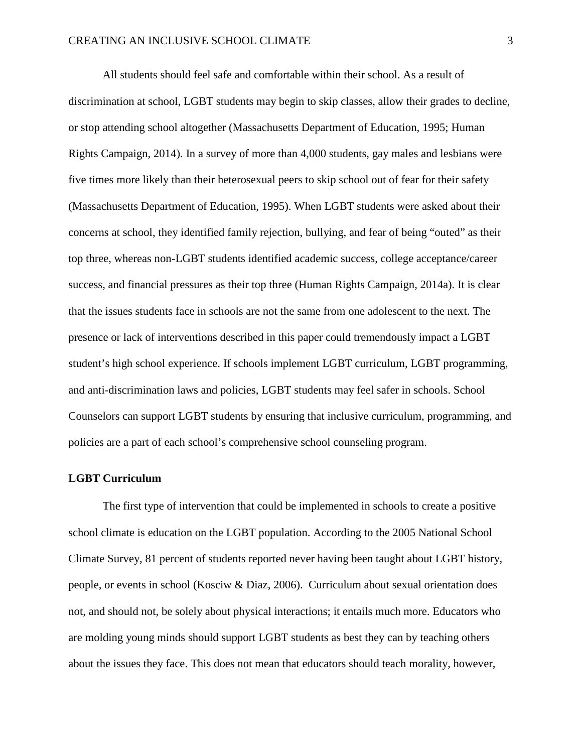All students should feel safe and comfortable within their school. As a result of discrimination at school, LGBT students may begin to skip classes, allow their grades to decline, or stop attending school altogether (Massachusetts Department of Education, 1995; Human Rights Campaign, 2014). In a survey of more than 4,000 students, gay males and lesbians were five times more likely than their heterosexual peers to skip school out of fear for their safety (Massachusetts Department of Education, 1995). When LGBT students were asked about their concerns at school, they identified family rejection, bullying, and fear of being "outed" as their top three, whereas non-LGBT students identified academic success, college acceptance/career success, and financial pressures as their top three (Human Rights Campaign, 2014a). It is clear that the issues students face in schools are not the same from one adolescent to the next. The presence or lack of interventions described in this paper could tremendously impact a LGBT student's high school experience. If schools implement LGBT curriculum, LGBT programming, and anti-discrimination laws and policies, LGBT students may feel safer in schools. School Counselors can support LGBT students by ensuring that inclusive curriculum, programming, and policies are a part of each school's comprehensive school counseling program.

## <span id="page-6-0"></span>**LGBT Curriculum**

The first type of intervention that could be implemented in schools to create a positive school climate is education on the LGBT population. According to the 2005 National School Climate Survey, 81 percent of students reported never having been taught about LGBT history, people, or events in school (Kosciw & Diaz, 2006). Curriculum about sexual orientation does not, and should not, be solely about physical interactions; it entails much more. Educators who are molding young minds should support LGBT students as best they can by teaching others about the issues they face. This does not mean that educators should teach morality, however,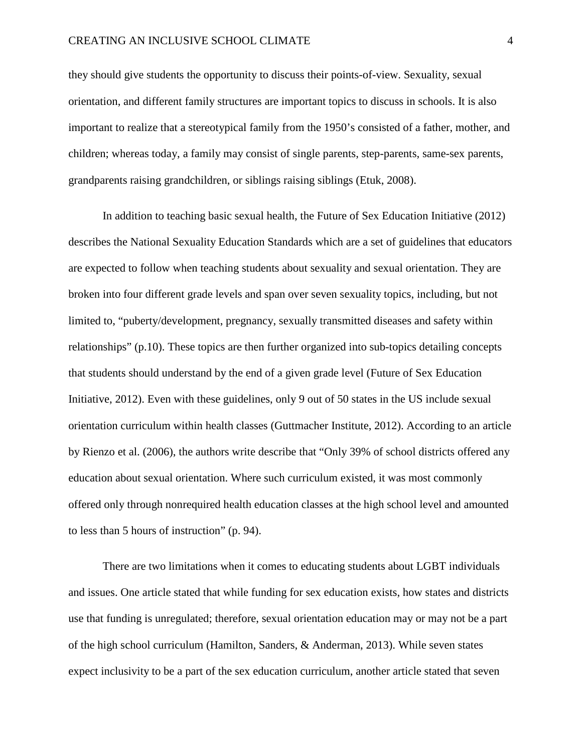#### CREATING AN INCLUSIVE SCHOOL CLIMATE 4

they should give students the opportunity to discuss their points-of-view. Sexuality, sexual orientation, and different family structures are important topics to discuss in schools. It is also important to realize that a stereotypical family from the 1950's consisted of a father, mother, and children; whereas today, a family may consist of single parents, step-parents, same-sex parents, grandparents raising grandchildren, or siblings raising siblings (Etuk, 2008).

In addition to teaching basic sexual health, the Future of Sex Education Initiative (2012) describes the National Sexuality Education Standards which are a set of guidelines that educators are expected to follow when teaching students about sexuality and sexual orientation. They are broken into four different grade levels and span over seven sexuality topics, including, but not limited to, "puberty/development, pregnancy, sexually transmitted diseases and safety within relationships" (p.10). These topics are then further organized into sub-topics detailing concepts that students should understand by the end of a given grade level (Future of Sex Education Initiative, 2012). Even with these guidelines, only 9 out of 50 states in the US include sexual orientation curriculum within health classes (Guttmacher Institute, 2012). According to an article by Rienzo et al. (2006), the authors write describe that "Only 39% of school districts offered any education about sexual orientation. Where such curriculum existed, it was most commonly offered only through nonrequired health education classes at the high school level and amounted to less than 5 hours of instruction" (p. 94).

There are two limitations when it comes to educating students about LGBT individuals and issues. One article stated that while funding for sex education exists, how states and districts use that funding is unregulated; therefore, sexual orientation education may or may not be a part of the high school curriculum (Hamilton, Sanders, & Anderman, 2013). While seven states expect inclusivity to be a part of the sex education curriculum, another article stated that seven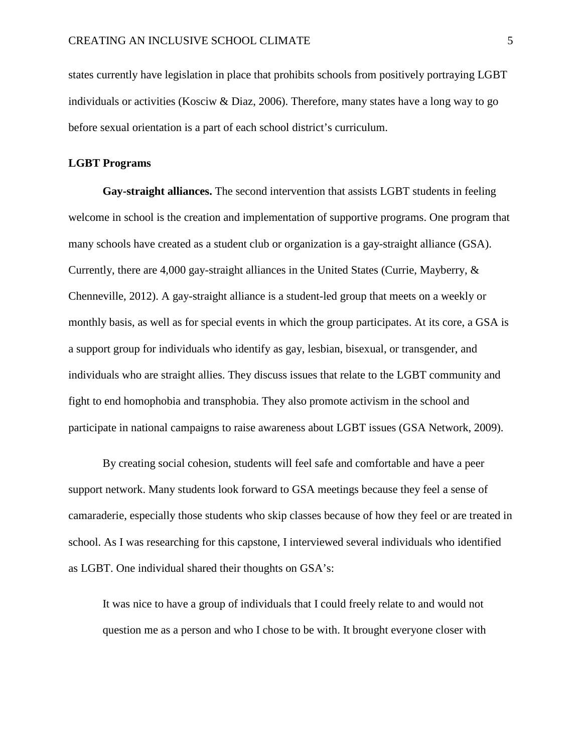states currently have legislation in place that prohibits schools from positively portraying LGBT individuals or activities (Kosciw & Diaz, 2006). Therefore, many states have a long way to go before sexual orientation is a part of each school district's curriculum.

### <span id="page-8-0"></span>**LGBT Programs**

<span id="page-8-1"></span>**Gay-straight alliances.** The second intervention that assists LGBT students in feeling welcome in school is the creation and implementation of supportive programs. One program that many schools have created as a student club or organization is a gay-straight alliance (GSA). Currently, there are 4,000 gay-straight alliances in the United States (Currie, Mayberry, & Chenneville, 2012). A gay-straight alliance is a student-led group that meets on a weekly or monthly basis, as well as for special events in which the group participates. At its core, a GSA is a support group for individuals who identify as gay, lesbian, bisexual, or transgender, and individuals who are straight allies. They discuss issues that relate to the LGBT community and fight to end homophobia and transphobia. They also promote activism in the school and participate in national campaigns to raise awareness about LGBT issues (GSA Network, 2009).

By creating social cohesion, students will feel safe and comfortable and have a peer support network. Many students look forward to GSA meetings because they feel a sense of camaraderie, especially those students who skip classes because of how they feel or are treated in school. As I was researching for this capstone, I interviewed several individuals who identified as LGBT. One individual shared their thoughts on GSA's:

It was nice to have a group of individuals that I could freely relate to and would not question me as a person and who I chose to be with. It brought everyone closer with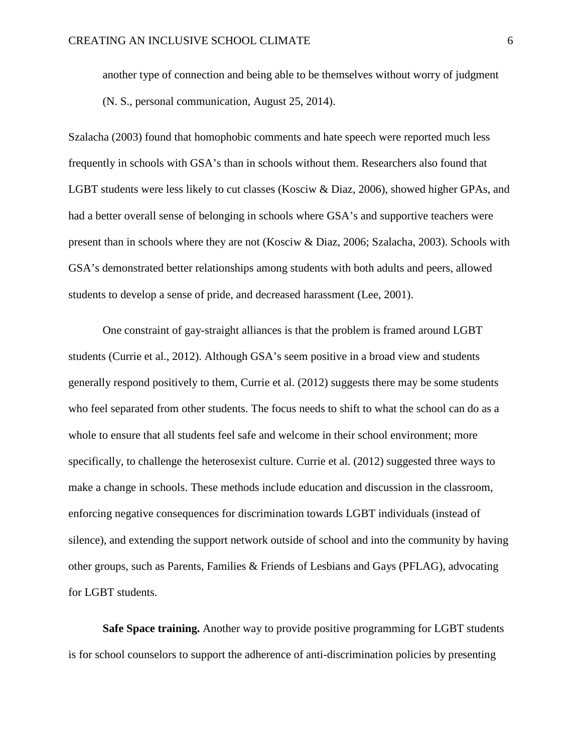another type of connection and being able to be themselves without worry of judgment (N. S., personal communication, August 25, 2014).

Szalacha (2003) found that homophobic comments and hate speech were reported much less frequently in schools with GSA's than in schools without them. Researchers also found that LGBT students were less likely to cut classes (Kosciw & Diaz, 2006), showed higher GPAs, and had a better overall sense of belonging in schools where GSA's and supportive teachers were present than in schools where they are not (Kosciw & Diaz, 2006; Szalacha, 2003). Schools with GSA's demonstrated better relationships among students with both adults and peers, allowed students to develop a sense of pride, and decreased harassment (Lee, 2001).

One constraint of gay-straight alliances is that the problem is framed around LGBT students (Currie et al., 2012). Although GSA's seem positive in a broad view and students generally respond positively to them, Currie et al. (2012) suggests there may be some students who feel separated from other students. The focus needs to shift to what the school can do as a whole to ensure that all students feel safe and welcome in their school environment; more specifically, to challenge the heterosexist culture. Currie et al. (2012) suggested three ways to make a change in schools. These methods include education and discussion in the classroom, enforcing negative consequences for discrimination towards LGBT individuals (instead of silence), and extending the support network outside of school and into the community by having other groups, such as Parents, Families & Friends of Lesbians and Gays (PFLAG), advocating for LGBT students.

<span id="page-9-0"></span>**Safe Space training.** Another way to provide positive programming for LGBT students is for school counselors to support the adherence of anti-discrimination policies by presenting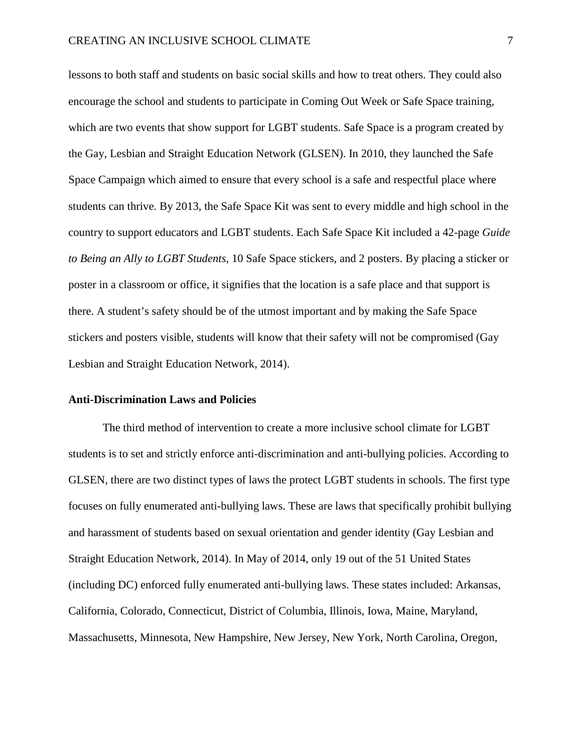lessons to both staff and students on basic social skills and how to treat others. They could also encourage the school and students to participate in Coming Out Week or Safe Space training, which are two events that show support for LGBT students. Safe Space is a program created by the Gay, Lesbian and Straight Education Network (GLSEN). In 2010, they launched the Safe Space Campaign which aimed to ensure that every school is a safe and respectful place where students can thrive. By 2013, the Safe Space Kit was sent to every middle and high school in the country to support educators and LGBT students. Each Safe Space Kit included a 42-page *Guide to Being an Ally to LGBT Students*, 10 Safe Space stickers, and 2 posters. By placing a sticker or poster in a classroom or office, it signifies that the location is a safe place and that support is there. A student's safety should be of the utmost important and by making the Safe Space stickers and posters visible, students will know that their safety will not be compromised (Gay Lesbian and Straight Education Network, 2014).

### <span id="page-10-0"></span>**Anti-Discrimination Laws and Policies**

The third method of intervention to create a more inclusive school climate for LGBT students is to set and strictly enforce anti-discrimination and anti-bullying policies. According to GLSEN, there are two distinct types of laws the protect LGBT students in schools. The first type focuses on fully enumerated anti-bullying laws. These are laws that specifically prohibit bullying and harassment of students based on sexual orientation and gender identity (Gay Lesbian and Straight Education Network, 2014). In May of 2014, only 19 out of the 51 United States (including DC) enforced fully enumerated anti-bullying laws. These states included: Arkansas, California, Colorado, Connecticut, District of Columbia, Illinois, Iowa, Maine, Maryland, Massachusetts, Minnesota, New Hampshire, New Jersey, New York, North Carolina, Oregon,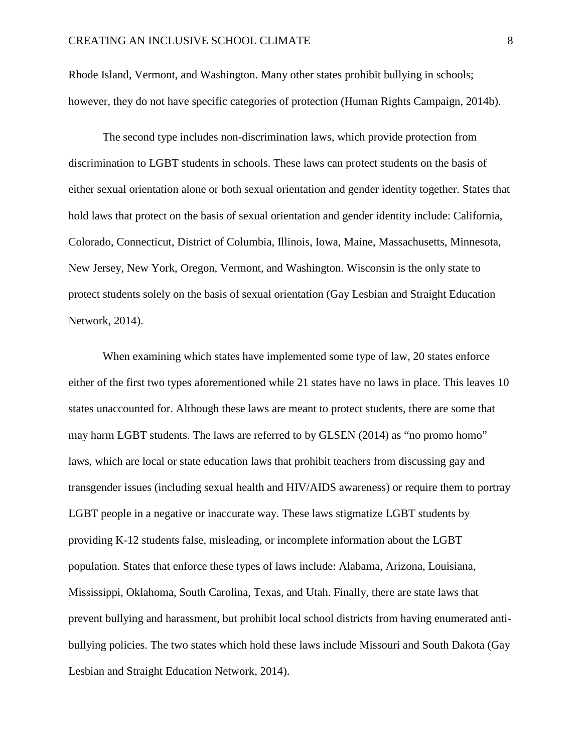Rhode Island, Vermont, and Washington. Many other states prohibit bullying in schools; however, they do not have specific categories of protection (Human Rights Campaign, 2014b).

The second type includes non-discrimination laws, which provide protection from discrimination to LGBT students in schools. These laws can protect students on the basis of either sexual orientation alone or both sexual orientation and gender identity together. States that hold laws that protect on the basis of sexual orientation and gender identity include: California, Colorado, Connecticut, District of Columbia, Illinois, Iowa, Maine, Massachusetts, Minnesota, New Jersey, New York, Oregon, Vermont, and Washington. Wisconsin is the only state to protect students solely on the basis of sexual orientation (Gay Lesbian and Straight Education Network, 2014).

When examining which states have implemented some type of law, 20 states enforce either of the first two types aforementioned while 21 states have no laws in place. This leaves 10 states unaccounted for. Although these laws are meant to protect students, there are some that may harm LGBT students. The laws are referred to by GLSEN (2014) as "no promo homo" laws, which are local or state education laws that prohibit teachers from discussing gay and transgender issues (including sexual health and HIV/AIDS awareness) or require them to portray LGBT people in a negative or inaccurate way. These laws stigmatize LGBT students by providing K-12 students false, misleading, or incomplete information about the LGBT population. States that enforce these types of laws include: Alabama, Arizona, Louisiana, Mississippi, Oklahoma, South Carolina, Texas, and Utah. Finally, there are state laws that prevent bullying and harassment, but prohibit local school districts from having enumerated antibullying policies. The two states which hold these laws include Missouri and South Dakota (Gay Lesbian and Straight Education Network, 2014).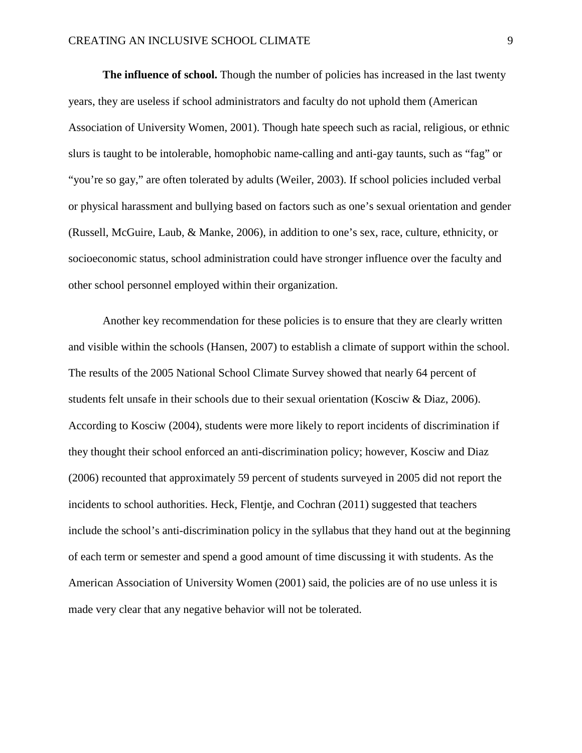<span id="page-12-0"></span>**The influence of school.** Though the number of policies has increased in the last twenty years, they are useless if school administrators and faculty do not uphold them (American Association of University Women, 2001). Though hate speech such as racial, religious, or ethnic slurs is taught to be intolerable, homophobic name-calling and anti-gay taunts, such as "fag" or "you're so gay," are often tolerated by adults (Weiler, 2003). If school policies included verbal or physical harassment and bullying based on factors such as one's sexual orientation and gender (Russell, McGuire, Laub, & Manke, 2006), in addition to one's sex, race, culture, ethnicity, or socioeconomic status, school administration could have stronger influence over the faculty and other school personnel employed within their organization.

<span id="page-12-1"></span>Another key recommendation for these policies is to ensure that they are clearly written and visible within the schools (Hansen, 2007) to establish a climate of support within the school. The results of the 2005 National School Climate Survey showed that nearly 64 percent of students felt unsafe in their schools due to their sexual orientation (Kosciw & Diaz, 2006). According to Kosciw (2004), students were more likely to report incidents of discrimination if they thought their school enforced an anti-discrimination policy; however, Kosciw and Diaz (2006) recounted that approximately 59 percent of students surveyed in 2005 did not report the incidents to school authorities. Heck, Flentje, and Cochran (2011) suggested that teachers include the school's anti-discrimination policy in the syllabus that they hand out at the beginning of each term or semester and spend a good amount of time discussing it with students. As the American Association of University Women (2001) said, the policies are of no use unless it is made very clear that any negative behavior will not be tolerated.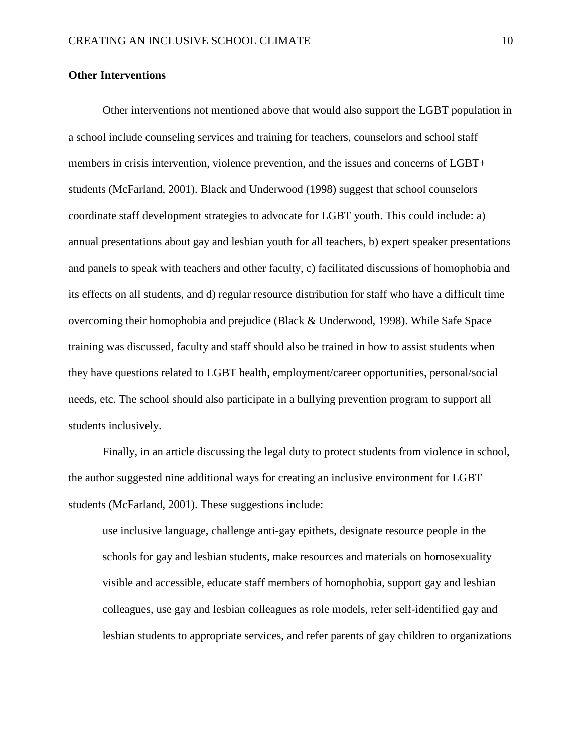## **Other Interventions**

Other interventions not mentioned above that would also support the LGBT population in a school include counseling services and training for teachers, counselors and school staff members in crisis intervention, violence prevention, and the issues and concerns of LGBT+ students (McFarland, 2001). Black and Underwood (1998) suggest that school counselors coordinate staff development strategies to advocate for LGBT youth. This could include: a) annual presentations about gay and lesbian youth for all teachers, b) expert speaker presentations and panels to speak with teachers and other faculty, c) facilitated discussions of homophobia and its effects on all students, and d) regular resource distribution for staff who have a difficult time overcoming their homophobia and prejudice (Black & Underwood, 1998). While Safe Space training was discussed, faculty and staff should also be trained in how to assist students when they have questions related to LGBT health, employment/career opportunities, personal/social needs, etc. The school should also participate in a bullying prevention program to support all students inclusively.

Finally, in an article discussing the legal duty to protect students from violence in school, the author suggested nine additional ways for creating an inclusive environment for LGBT students (McFarland, 2001). These suggestions include:

use inclusive language, challenge anti-gay epithets, designate resource people in the schools for gay and lesbian students, make resources and materials on homosexuality visible and accessible, educate staff members of homophobia, support gay and lesbian colleagues, use gay and lesbian colleagues as role models, refer self-identified gay and lesbian students to appropriate services, and refer parents of gay children to organizations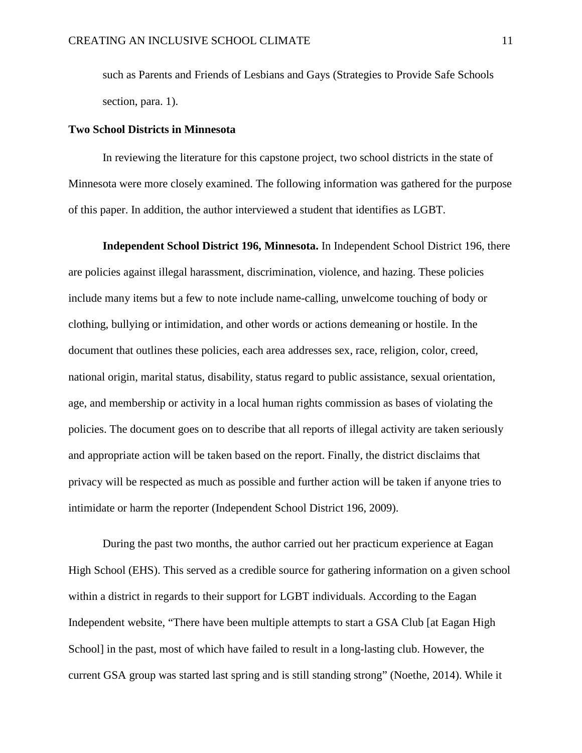<span id="page-14-1"></span>such as Parents and Friends of Lesbians and Gays (Strategies to Provide Safe Schools section, para. 1).

### <span id="page-14-0"></span>**Two School Districts in Minnesota**

In reviewing the literature for this capstone project, two school districts in the state of Minnesota were more closely examined. The following information was gathered for the purpose of this paper. In addition, the author interviewed a student that identifies as LGBT.

**Independent School District 196, Minnesota.** In Independent School District 196, there are policies against illegal harassment, discrimination, violence, and hazing. These policies include many items but a few to note include name-calling, unwelcome touching of body or clothing, bullying or intimidation, and other words or actions demeaning or hostile. In the document that outlines these policies, each area addresses sex, race, religion, color, creed, national origin, marital status, disability, status regard to public assistance, sexual orientation, age, and membership or activity in a local human rights commission as bases of violating the policies. The document goes on to describe that all reports of illegal activity are taken seriously and appropriate action will be taken based on the report. Finally, the district disclaims that privacy will be respected as much as possible and further action will be taken if anyone tries to intimidate or harm the reporter (Independent School District 196, 2009).

During the past two months, the author carried out her practicum experience at Eagan High School (EHS). This served as a credible source for gathering information on a given school within a district in regards to their support for LGBT individuals. According to the Eagan Independent website, "There have been multiple attempts to start a GSA Club [at Eagan High School] in the past, most of which have failed to result in a long-lasting club. However, the current GSA group was started last spring and is still standing strong" (Noethe, 2014). While it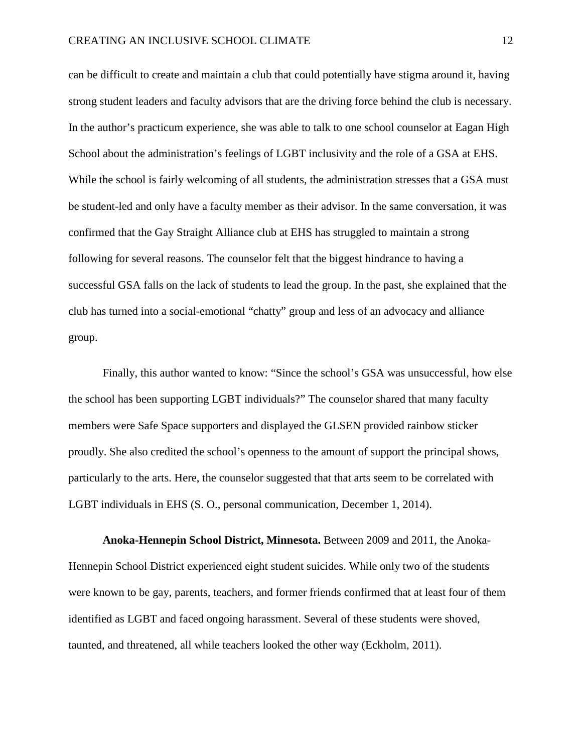can be difficult to create and maintain a club that could potentially have stigma around it, having strong student leaders and faculty advisors that are the driving force behind the club is necessary. In the author's practicum experience, she was able to talk to one school counselor at Eagan High School about the administration's feelings of LGBT inclusivity and the role of a GSA at EHS. While the school is fairly welcoming of all students, the administration stresses that a GSA must be student-led and only have a faculty member as their advisor. In the same conversation, it was confirmed that the Gay Straight Alliance club at EHS has struggled to maintain a strong following for several reasons. The counselor felt that the biggest hindrance to having a successful GSA falls on the lack of students to lead the group. In the past, she explained that the club has turned into a social-emotional "chatty" group and less of an advocacy and alliance group.

Finally, this author wanted to know: "Since the school's GSA was unsuccessful, how else the school has been supporting LGBT individuals?" The counselor shared that many faculty members were Safe Space supporters and displayed the GLSEN provided rainbow sticker proudly. She also credited the school's openness to the amount of support the principal shows, particularly to the arts. Here, the counselor suggested that that arts seem to be correlated with LGBT individuals in EHS (S. O., personal communication, December 1, 2014).

<span id="page-15-0"></span>**Anoka-Hennepin School District, Minnesota.** Between 2009 and 2011, the Anoka-Hennepin School District experienced eight student suicides. While only two of the students were known to be gay, parents, teachers, and former friends confirmed that at least four of them identified as LGBT and faced ongoing harassment. Several of these students were shoved, taunted, and threatened, all while teachers looked the other way (Eckholm, 2011).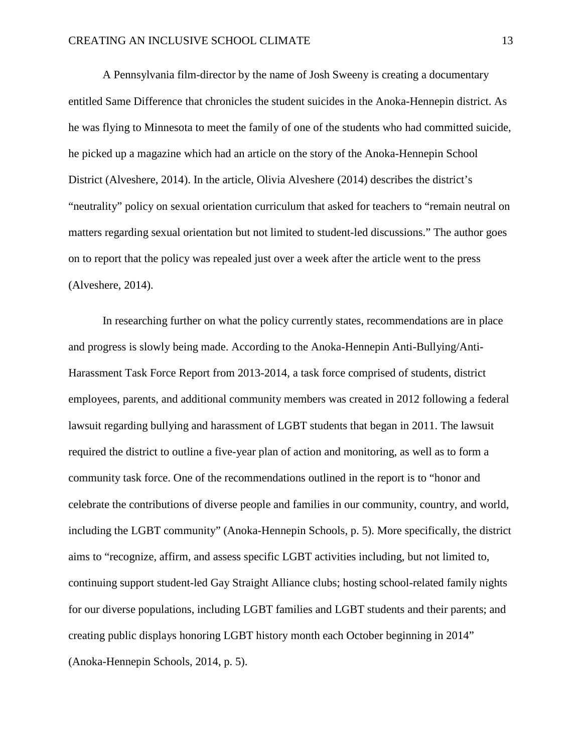A Pennsylvania film-director by the name of Josh Sweeny is creating a documentary entitled Same Difference that chronicles the student suicides in the Anoka-Hennepin district. As he was flying to Minnesota to meet the family of one of the students who had committed suicide, he picked up a magazine which had an article on the story of the Anoka-Hennepin School District (Alveshere, 2014). In the article, Olivia Alveshere (2014) describes the district's "neutrality" policy on sexual orientation curriculum that asked for teachers to "remain neutral on matters regarding sexual orientation but not limited to student-led discussions." The author goes on to report that the policy was repealed just over a week after the article went to the press (Alveshere, 2014).

In researching further on what the policy currently states, recommendations are in place and progress is slowly being made. According to the Anoka-Hennepin Anti-Bullying/Anti-Harassment Task Force Report from 2013-2014, a task force comprised of students, district employees, parents, and additional community members was created in 2012 following a federal lawsuit regarding bullying and harassment of LGBT students that began in 2011. The lawsuit required the district to outline a five-year plan of action and monitoring, as well as to form a community task force. One of the recommendations outlined in the report is to "honor and celebrate the contributions of diverse people and families in our community, country, and world, including the LGBT community" (Anoka-Hennepin Schools, p. 5). More specifically, the district aims to "recognize, affirm, and assess specific LGBT activities including, but not limited to, continuing support student-led Gay Straight Alliance clubs; hosting school-related family nights for our diverse populations, including LGBT families and LGBT students and their parents; and creating public displays honoring LGBT history month each October beginning in 2014" (Anoka-Hennepin Schools, 2014, p. 5).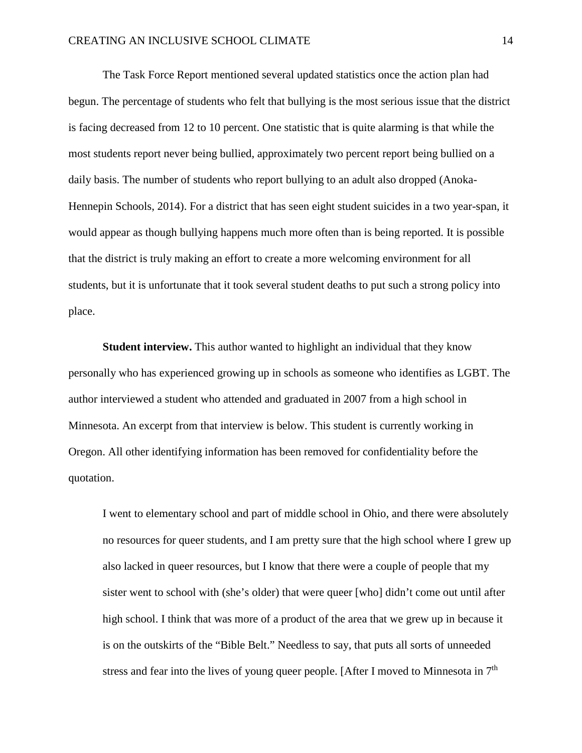The Task Force Report mentioned several updated statistics once the action plan had begun. The percentage of students who felt that bullying is the most serious issue that the district is facing decreased from 12 to 10 percent. One statistic that is quite alarming is that while the most students report never being bullied, approximately two percent report being bullied on a daily basis. The number of students who report bullying to an adult also dropped (Anoka-Hennepin Schools, 2014). For a district that has seen eight student suicides in a two year-span, it would appear as though bullying happens much more often than is being reported. It is possible that the district is truly making an effort to create a more welcoming environment for all students, but it is unfortunate that it took several student deaths to put such a strong policy into place.

<span id="page-17-0"></span>**Student interview.** This author wanted to highlight an individual that they know personally who has experienced growing up in schools as someone who identifies as LGBT. The author interviewed a student who attended and graduated in 2007 from a high school in Minnesota. An excerpt from that interview is below. This student is currently working in Oregon. All other identifying information has been removed for confidentiality before the quotation.

I went to elementary school and part of middle school in Ohio, and there were absolutely no resources for queer students, and I am pretty sure that the high school where I grew up also lacked in queer resources, but I know that there were a couple of people that my sister went to school with (she's older) that were queer [who] didn't come out until after high school. I think that was more of a product of the area that we grew up in because it is on the outskirts of the "Bible Belt." Needless to say, that puts all sorts of unneeded stress and fear into the lives of young queer people. [After I moved to Minnesota in  $7<sup>th</sup>$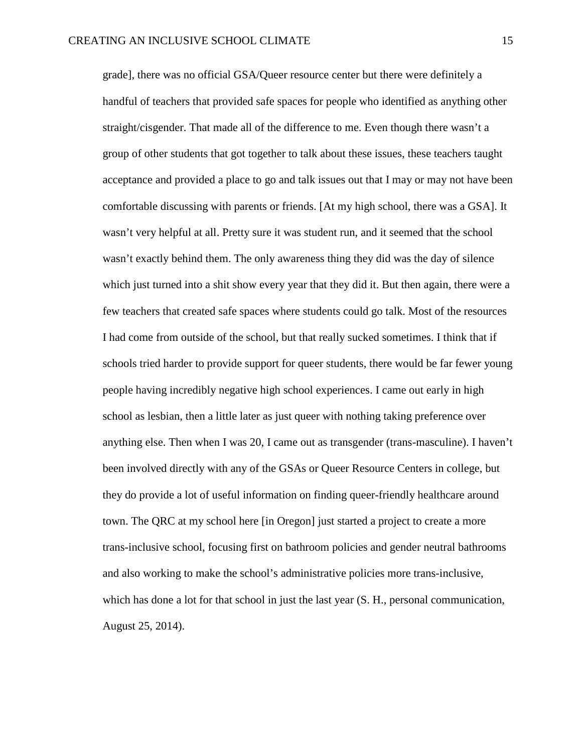<span id="page-18-0"></span>grade], there was no official GSA/Queer resource center but there were definitely a handful of teachers that provided safe spaces for people who identified as anything other straight/cisgender. That made all of the difference to me. Even though there wasn't a group of other students that got together to talk about these issues, these teachers taught acceptance and provided a place to go and talk issues out that I may or may not have been comfortable discussing with parents or friends. [At my high school, there was a GSA]. It wasn't very helpful at all. Pretty sure it was student run, and it seemed that the school wasn't exactly behind them. The only awareness thing they did was the day of silence which just turned into a shit show every year that they did it. But then again, there were a few teachers that created safe spaces where students could go talk. Most of the resources I had come from outside of the school, but that really sucked sometimes. I think that if schools tried harder to provide support for queer students, there would be far fewer young people having incredibly negative high school experiences. I came out early in high school as lesbian, then a little later as just queer with nothing taking preference over anything else. Then when I was 20, I came out as transgender (trans-masculine). I haven't been involved directly with any of the GSAs or Queer Resource Centers in college, but they do provide a lot of useful information on finding queer-friendly healthcare around town. The QRC at my school here [in Oregon] just started a project to create a more trans-inclusive school, focusing first on bathroom policies and gender neutral bathrooms and also working to make the school's administrative policies more trans-inclusive, which has done a lot for that school in just the last year  $(S, H,$ , personal communication, August 25, 2014).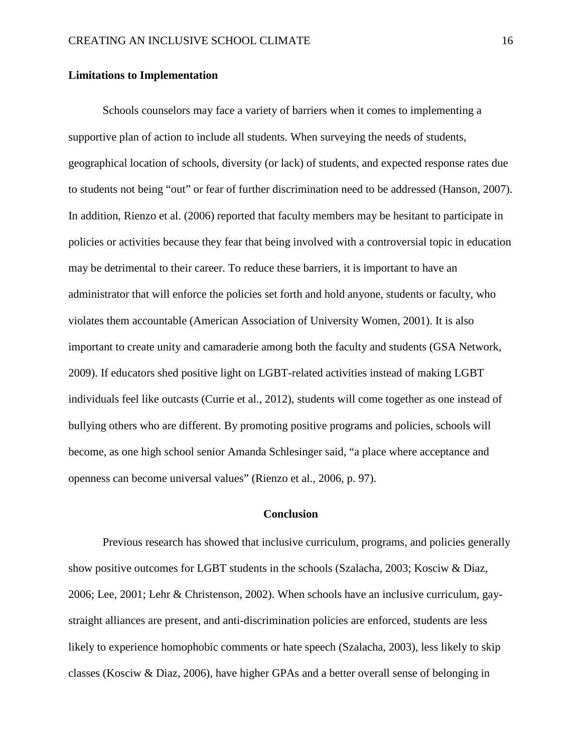## **Limitations to Implementation**

Schools counselors may face a variety of barriers when it comes to implementing a supportive plan of action to include all students. When surveying the needs of students, geographical location of schools, diversity (or lack) of students, and expected response rates due to students not being "out" or fear of further discrimination need to be addressed (Hanson, 2007). In addition, Rienzo et al. (2006) reported that faculty members may be hesitant to participate in policies or activities because they fear that being involved with a controversial topic in education may be detrimental to their career. To reduce these barriers, it is important to have an administrator that will enforce the policies set forth and hold anyone, students or faculty, who violates them accountable (American Association of University Women, 2001). It is also important to create unity and camaraderie among both the faculty and students (GSA Network, 2009). If educators shed positive light on LGBT-related activities instead of making LGBT individuals feel like outcasts (Currie et al., 2012), students will come together as one instead of bullying others who are different. By promoting positive programs and policies, schools will become, as one high school senior Amanda Schlesinger said, "a place where acceptance and openness can become universal values" (Rienzo et al., 2006, p. 97).

## **Conclusion**

<span id="page-19-0"></span>Previous research has showed that inclusive curriculum, programs, and policies generally show positive outcomes for LGBT students in the schools (Szalacha, 2003; Kosciw & Diaz, 2006; Lee, 2001; Lehr & Christenson, 2002). When schools have an inclusive curriculum, gaystraight alliances are present, and anti-discrimination policies are enforced, students are less likely to experience homophobic comments or hate speech (Szalacha, 2003), less likely to skip classes (Kosciw & Diaz, 2006), have higher GPAs and a better overall sense of belonging in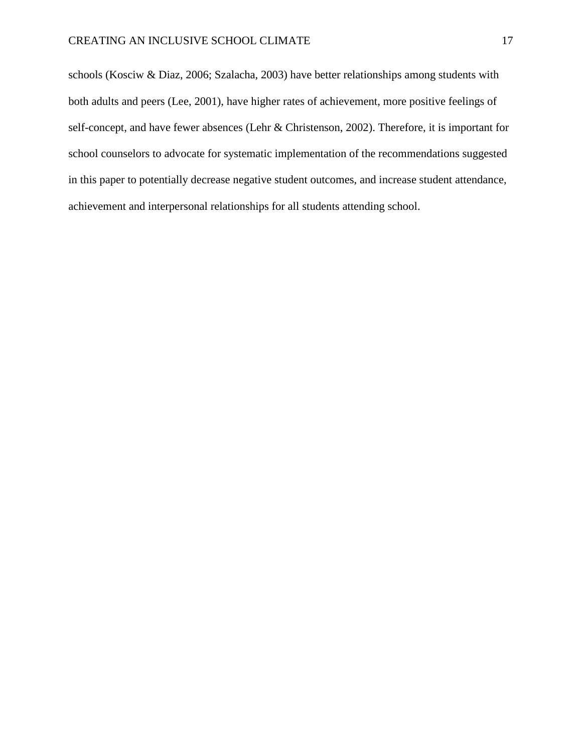schools (Kosciw & Diaz, 2006; Szalacha, 2003) have better relationships among students with both adults and peers (Lee, 2001), have higher rates of achievement, more positive feelings of self-concept, and have fewer absences (Lehr & Christenson, 2002). Therefore, it is important for school counselors to advocate for systematic implementation of the recommendations suggested in this paper to potentially decrease negative student outcomes, and increase student attendance, achievement and interpersonal relationships for all students attending school.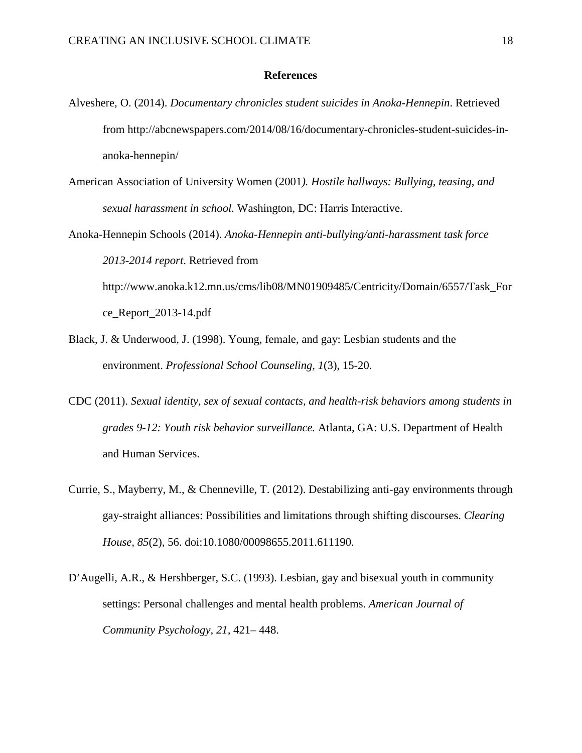## **References**

- <span id="page-21-0"></span>Alveshere, O. (2014). *Documentary chronicles student suicides in Anoka-Hennepin*. Retrieved from http://abcnewspapers.com/2014/08/16/documentary-chronicles-student-suicides-inanoka-hennepin/
- American Association of University Women (2001*). Hostile hallways: Bullying, teasing, and sexual harassment in school.* Washington, DC: Harris Interactive.
- Anoka-Hennepin Schools (2014). *Anoka-Hennepin anti-bullying/anti-harassment task force 2013-2014 report*. Retrieved from http://www.anoka.k12.mn.us/cms/lib08/MN01909485/Centricity/Domain/6557/Task\_For ce\_Report\_2013-14.pdf
- Black, J. & Underwood, J. (1998). Young, female, and gay: Lesbian students and the environment. *Professional School Counseling, 1*(3), 15-20.
- CDC (2011). *Sexual identity, sex of sexual contacts, and health-risk behaviors among students in grades 9-12: Youth risk behavior surveillance.* Atlanta, GA: U.S. Department of Health and Human Services.
- Currie, S., Mayberry, M., & Chenneville, T. (2012). Destabilizing anti-gay environments through gay-straight alliances: Possibilities and limitations through shifting discourses. *Clearing House, 85*(2), 56. doi:10.1080/00098655.2011.611190.
- D'Augelli, A.R., & Hershberger, S.C. (1993). Lesbian, gay and bisexual youth in community settings: Personal challenges and mental health problems. *American Journal of Community Psychology, 21,* 421– 448.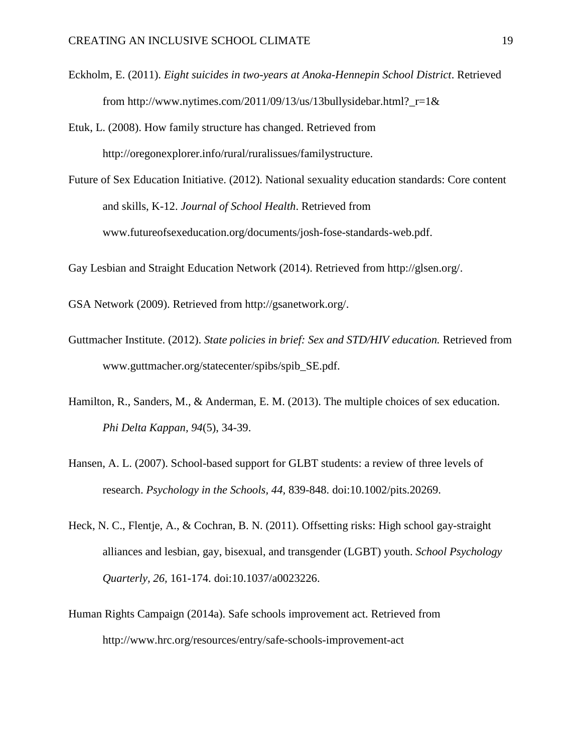- Eckholm, E. (2011). *Eight suicides in two-years at Anoka-Hennepin School District*. Retrieved from http://www.nytimes.com/2011/09/13/us/13bullysidebar.html?  $r=1$ &
- Etuk, L. (2008). How family structure has changed. Retrieved from http://oregonexplorer.info/rural/ruralissues/familystructure.
- Future of Sex Education Initiative. (2012). National sexuality education standards: Core content and skills, K-12. *Journal of School Health*. Retrieved from www.futureofsexeducation.org/documents/josh-fose-standards-web.pdf.
- Gay Lesbian and Straight Education Network (2014). Retrieved from http://glsen.org/.
- GSA Network (2009). Retrieved from http://gsanetwork.org/.
- Guttmacher Institute. (2012). *State policies in brief: Sex and STD/HIV education.* Retrieved from www.guttmacher.org/statecenter/spibs/spib\_SE.pdf.
- Hamilton, R., Sanders, M., & Anderman, E. M. (2013). The multiple choices of sex education. *Phi Delta Kappan, 94*(5), 34-39.
- Hansen, A. L. (2007). School-based support for GLBT students: a review of three levels of research. *Psychology in the Schools, 44,* 839-848. doi:10.1002/pits.20269.
- Heck, N. C., Flentje, A., & Cochran, B. N. (2011). Offsetting risks: High school gay-straight alliances and lesbian, gay, bisexual, and transgender (LGBT) youth. *School Psychology Quarterly, 26,* 161-174. doi:10.1037/a0023226.
- Human Rights Campaign (2014a). Safe schools improvement act. Retrieved from http://www.hrc.org/resources/entry/safe-schools-improvement-act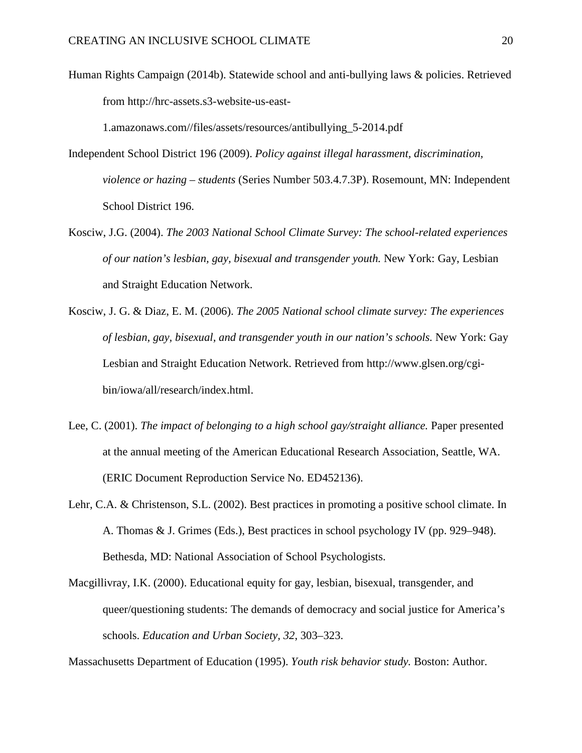Human Rights Campaign (2014b). Statewide school and anti-bullying laws & policies. Retrieved from http://hrc-assets.s3-website-us-east-

1.amazonaws.com//files/assets/resources/antibullying\_5-2014.pdf

- Independent School District 196 (2009). *Policy against illegal harassment, discrimination, violence or hazing – students* (Series Number 503.4.7.3P). Rosemount, MN: Independent School District 196.
- Kosciw, J.G. (2004). *The 2003 National School Climate Survey: The school-related experiences of our nation's lesbian, gay, bisexual and transgender youth.* New York: Gay, Lesbian and Straight Education Network.
- Kosciw, J. G. & Diaz, E. M. (2006). *The 2005 National school climate survey: The experiences of lesbian, gay, bisexual, and transgender youth in our nation's schools.* New York: Gay Lesbian and Straight Education Network. Retrieved from http://www.glsen.org/cgibin/iowa/all/research/index.html.
- Lee, C. (2001). *The impact of belonging to a high school gay/straight alliance*. Paper presented at the annual meeting of the American Educational Research Association, Seattle, WA. (ERIC Document Reproduction Service No. ED452136).
- Lehr, C.A. & Christenson, S.L. (2002). Best practices in promoting a positive school climate. In A. Thomas & J. Grimes (Eds.), Best practices in school psychology IV (pp. 929–948). Bethesda, MD: National Association of School Psychologists.
- Macgillivray, I.K. (2000). Educational equity for gay, lesbian, bisexual, transgender, and queer/questioning students: The demands of democracy and social justice for America's schools. *Education and Urban Society, 32*, 303–323.

Massachusetts Department of Education (1995). *Youth risk behavior study.* Boston: Author.